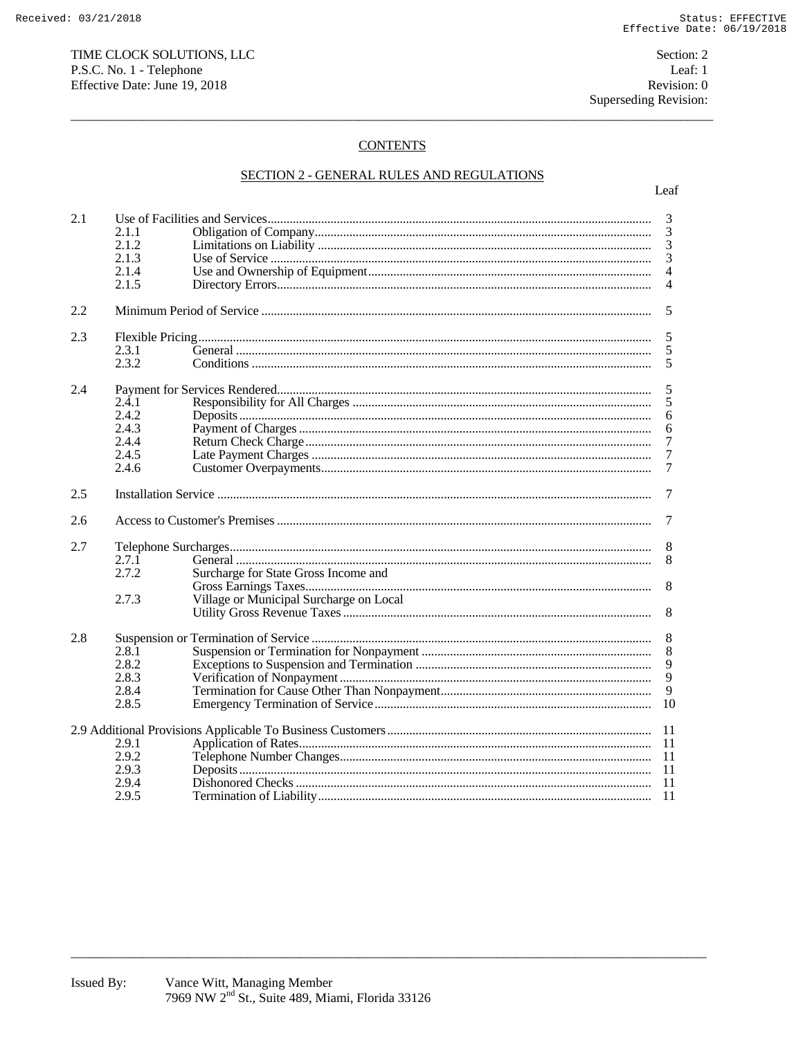## **CONTENTS**

# SECTION 2 - GENERAL RULES AND REGULATIONS

| 2.1 |       |                                         |                  |  |  |
|-----|-------|-----------------------------------------|------------------|--|--|
|     |       |                                         | 3<br>3           |  |  |
|     | 2.1.1 |                                         |                  |  |  |
|     | 2.1.2 |                                         | 3                |  |  |
|     | 2.1.3 |                                         | 3                |  |  |
|     | 2.1.4 |                                         | $\overline{4}$   |  |  |
|     | 2.1.5 |                                         | $\overline{4}$   |  |  |
| 2.2 | 5     |                                         |                  |  |  |
| 2.3 |       |                                         |                  |  |  |
|     | 2.3.1 |                                         | 5<br>5           |  |  |
|     | 2.3.2 |                                         | 5                |  |  |
|     |       |                                         |                  |  |  |
| 2.4 | 5     |                                         |                  |  |  |
|     | 2.4.1 |                                         | 5                |  |  |
|     | 2.4.2 |                                         | 6                |  |  |
|     | 2.4.3 |                                         | 6                |  |  |
|     | 2.4.4 |                                         | 7                |  |  |
|     | 2.4.5 |                                         | $\boldsymbol{7}$ |  |  |
|     | 2.4.6 |                                         | $\tau$           |  |  |
|     |       |                                         |                  |  |  |
| 2.5 |       | 7                                       |                  |  |  |
| 2.6 |       | 7                                       |                  |  |  |
| 2.7 |       |                                         |                  |  |  |
|     | 2.7.1 |                                         | 8<br>8           |  |  |
|     | 2.7.2 | Surcharge for State Gross Income and    |                  |  |  |
|     |       |                                         | 8                |  |  |
|     |       |                                         |                  |  |  |
|     | 2.7.3 | Village or Municipal Surcharge on Local | 8                |  |  |
|     |       |                                         |                  |  |  |
| 2.8 | 8     |                                         |                  |  |  |
|     | 2.8.1 |                                         | 8                |  |  |
|     | 2.8.2 |                                         |                  |  |  |
|     | 2.8.3 |                                         | $\frac{9}{9}$    |  |  |
|     | 2.8.4 |                                         | 9                |  |  |
|     | 2.8.5 |                                         | 10               |  |  |
|     |       |                                         |                  |  |  |
|     |       |                                         | -11              |  |  |
|     | 2.9.1 |                                         | -11              |  |  |
|     | 2.9.2 |                                         | -11              |  |  |
|     | 2.9.3 |                                         | -11              |  |  |
|     | 2.9.4 |                                         | -11              |  |  |
|     | 2.9.5 |                                         | - 11             |  |  |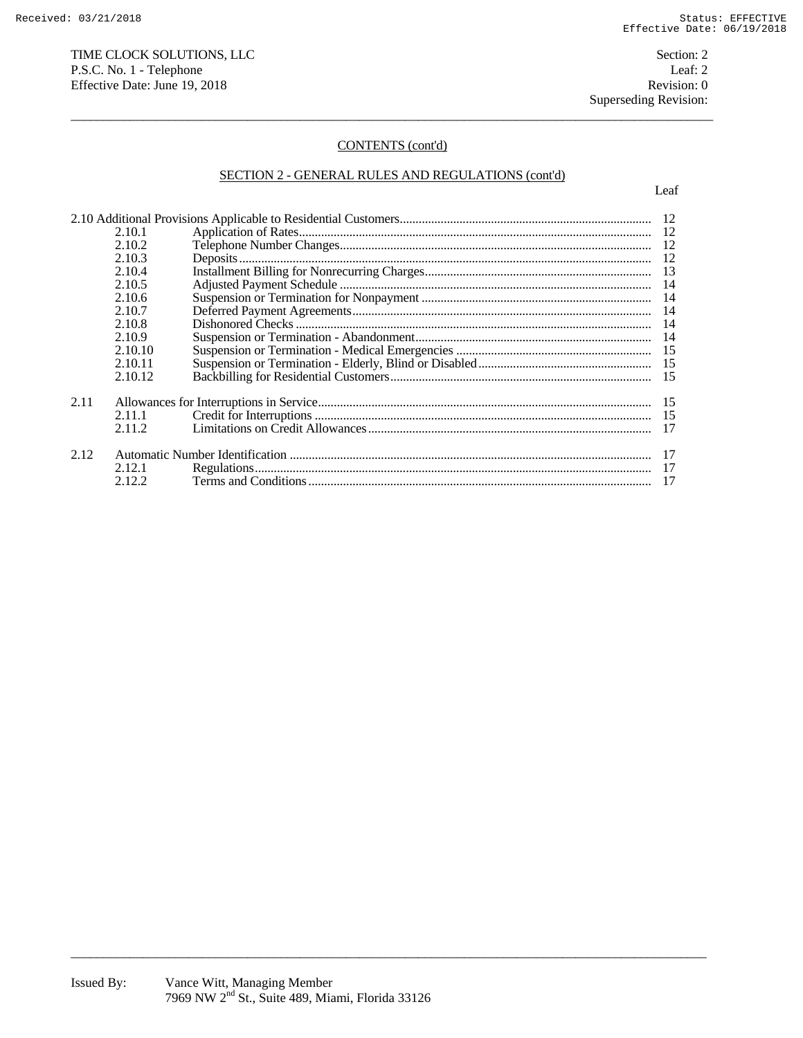# TIME CLOCK SOLUTIONS, LLC Section: 2 P.S.C. No. 1 - Telephone Leaf: 2<br>
Effective Date: June 19, 2018 Revision: 0 Effective Date: June 19, 2018

## CONTENTS (cont'd)

 $\overline{a}$  , and the state of the state of the state of the state of the state of the state of the state of the state of the state of the state of the state of the state of the state of the state of the state of the state o

# SECTION 2 - GENERAL RULES AND REGULATIONS (cont'd)

|      | 2.10.2  |  |    |
|------|---------|--|----|
|      | 2.10.3  |  |    |
|      | 2.10.4  |  |    |
|      |         |  |    |
|      | 2.10.5  |  |    |
|      | 2.10.6  |  |    |
|      | 2.10.7  |  |    |
|      | 2.10.8  |  | 14 |
|      | 2.10.9  |  |    |
|      | 2.10.10 |  |    |
|      | 2.10.11 |  |    |
|      | 2.10.12 |  |    |
| 2.11 |         |  |    |
|      | 2.11.1  |  |    |
|      | 2.11.2  |  |    |
|      |         |  |    |
| 2.12 |         |  |    |
|      | 2.12.1  |  |    |
|      | 2.12.2  |  |    |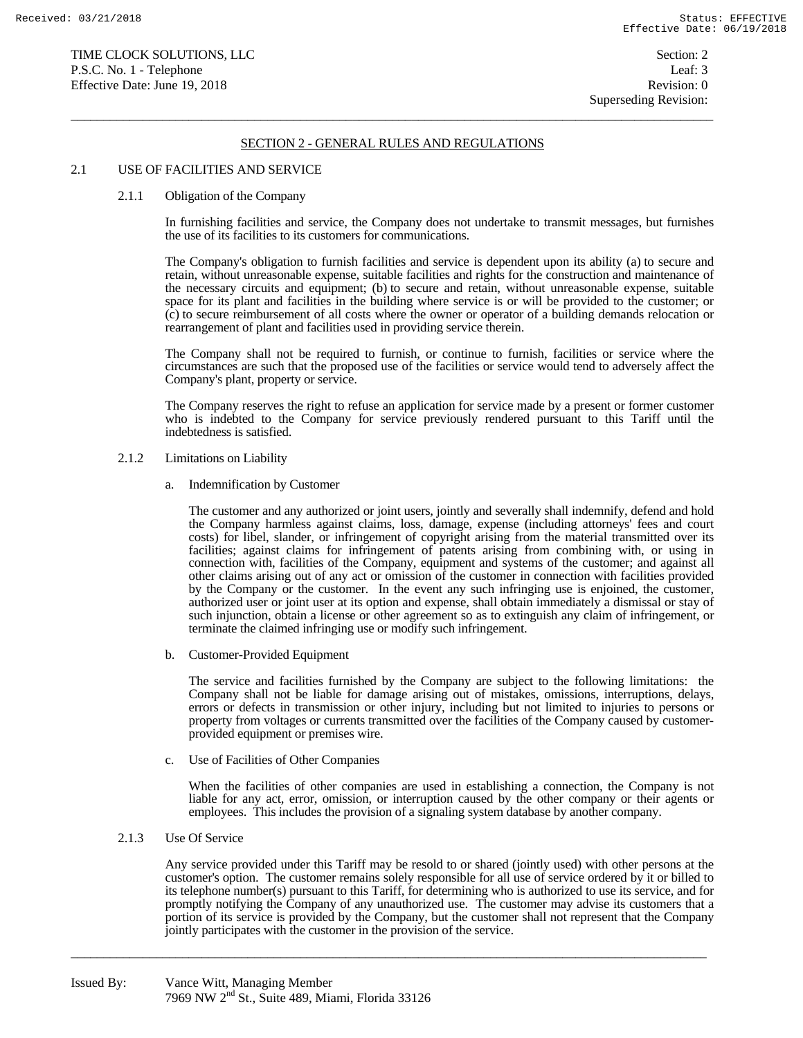$\overline{a}$  , and the state of the state of the state of the state of the state of the state of the state of the state of the state of the state of the state of the state of the state of the state of the state of the state o

### 2.1 USE OF FACILITIES AND SERVICE

#### 2.1.1 Obligation of the Company

 In furnishing facilities and service, the Company does not undertake to transmit messages, but furnishes the use of its facilities to its customers for communications.

 The Company's obligation to furnish facilities and service is dependent upon its ability (a) to secure and retain, without unreasonable expense, suitable facilities and rights for the construction and maintenance of the necessary circuits and equipment; (b) to secure and retain, without unreasonable expense, suitable space for its plant and facilities in the building where service is or will be provided to the customer; or (c) to secure reimbursement of all costs where the owner or operator of a building demands relocation or rearrangement of plant and facilities used in providing service therein.

 The Company shall not be required to furnish, or continue to furnish, facilities or service where the circumstances are such that the proposed use of the facilities or service would tend to adversely affect the Company's plant, property or service.

 The Company reserves the right to refuse an application for service made by a present or former customer who is indebted to the Company for service previously rendered pursuant to this Tariff until the indebtedness is satisfied.

### 2.1.2 Limitations on Liability

a. Indemnification by Customer

 The customer and any authorized or joint users, jointly and severally shall indemnify, defend and hold the Company harmless against claims, loss, damage, expense (including attorneys' fees and court costs) for libel, slander, or infringement of copyright arising from the material transmitted over its facilities; against claims for infringement of patents arising from combining with, or using in connection with, facilities of the Company, equipment and systems of the customer; and against all other claims arising out of any act or omission of the customer in connection with facilities provided by the Company or the customer. In the event any such infringing use is enjoined, the customer, authorized user or joint user at its option and expense, shall obtain immediately a dismissal or stay of such injunction, obtain a license or other agreement so as to extinguish any claim of infringement, or terminate the claimed infringing use or modify such infringement.

b. Customer-Provided Equipment

 The service and facilities furnished by the Company are subject to the following limitations: the Company shall not be liable for damage arising out of mistakes, omissions, interruptions, delays, errors or defects in transmission or other injury, including but not limited to injuries to persons or property from voltages or currents transmitted over the facilities of the Company caused by customerprovided equipment or premises wire.

c. Use of Facilities of Other Companies

 When the facilities of other companies are used in establishing a connection, the Company is not liable for any act, error, omission, or interruption caused by the other company or their agents or employees. This includes the provision of a signaling system database by another company.

## 2.1.3 Use Of Service

 Any service provided under this Tariff may be resold to or shared (jointly used) with other persons at the customer's option. The customer remains solely responsible for all use of service ordered by it or billed to its telephone number(s) pursuant to this Tariff, for determining who is authorized to use its service, and for promptly notifying the Company of any unauthorized use. The customer may advise its customers that a portion of its service is provided by the Company, but the customer shall not represent that the Company jointly participates with the customer in the provision of the service.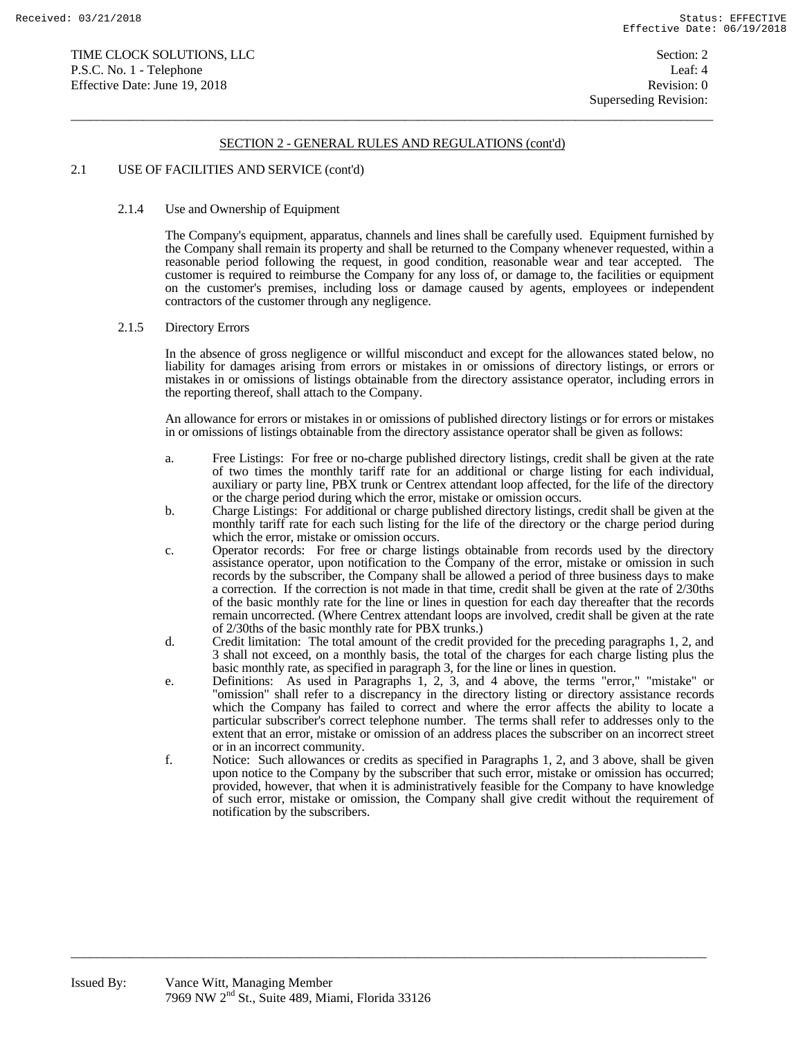$\overline{a}$  , and the state of the state of the state of the state of the state of the state of the state of the state of the state of the state of the state of the state of the state of the state of the state of the state o

### 2.1 USE OF FACILITIES AND SERVICE (cont'd)

### 2.1.4 Use and Ownership of Equipment

 The Company's equipment, apparatus, channels and lines shall be carefully used. Equipment furnished by the Company shall remain its property and shall be returned to the Company whenever requested, within a reasonable period following the request, in good condition, reasonable wear and tear accepted. The customer is required to reimburse the Company for any loss of, or damage to, the facilities or equipment on the customer's premises, including loss or damage caused by agents, employees or independent contractors of the customer through any negligence.

## 2.1.5 Directory Errors

 In the absence of gross negligence or willful misconduct and except for the allowances stated below, no liability for damages arising from errors or mistakes in or omissions of directory listings, or errors or mistakes in or omissions of listings obtainable from the directory assistance operator, including errors in the reporting thereof, shall attach to the Company.

 An allowance for errors or mistakes in or omissions of published directory listings or for errors or mistakes in or omissions of listings obtainable from the directory assistance operator shall be given as follows:

- a. Free Listings: For free or no-charge published directory listings, credit shall be given at the rate of two times the monthly tariff rate for an additional or charge listing for each individual, auxiliary or party line, PBX trunk or Centrex attendant loop affected, for the life of the directory or the charge period during which the error, mistake or omission occurs.
- b. Charge Listings: For additional or charge published directory listings, credit shall be given at the monthly tariff rate for each such listing for the life of the directory or the charge period during which the error, mistake or omission occurs.
- c. Operator records: For free or charge listings obtainable from records used by the directory assistance operator, upon notification to the Company of the error, mistake or omission in such records by the subscriber, the Company shall be allowed a period of three business days to make a correction. If the correction is not made in that time, credit shall be given at the rate of 2/30ths of the basic monthly rate for the line or lines in question for each day thereafter that the records remain uncorrected. (Where Centrex attendant loops are involved, credit shall be given at the rate of 2/30ths of the basic monthly rate for PBX trunks.)
- d. Credit limitation: The total amount of the credit provided for the preceding paragraphs 1, 2, and 3 shall not exceed, on a monthly basis, the total of the charges for each charge listing plus the basic monthly rate, as specified in paragraph 3, for the line or lines in question.
- e. Definitions: As used in Paragraphs 1, 2, 3, and 4 above, the terms "error," "mistake" or "omission" shall refer to a discrepancy in the directory listing or directory assistance records which the Company has failed to correct and where the error affects the ability to locate a particular subscriber's correct telephone number. The terms shall refer to addresses only to the extent that an error, mistake or omission of an address places the subscriber on an incorrect street or in an incorrect community.
- f. Notice: Such allowances or credits as specified in Paragraphs 1, 2, and 3 above, shall be given upon notice to the Company by the subscriber that such error, mistake or omission has occurred; provided, however, that when it is administratively feasible for the Company to have knowledge of such error, mistake or omission, the Company shall give credit without the requirement of notification by the subscribers.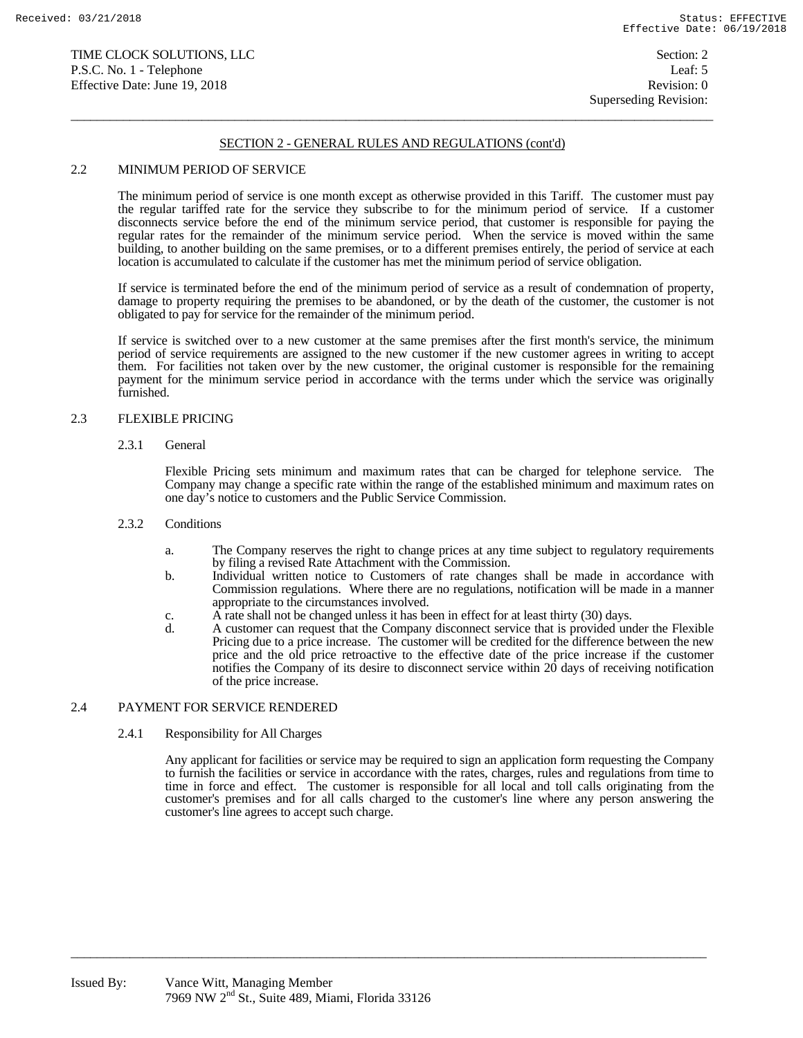$\overline{a}$  , and the state of the state of the state of the state of the state of the state of the state of the state of the state of the state of the state of the state of the state of the state of the state of the state o

### 2.2 MINIMUM PERIOD OF SERVICE

 The minimum period of service is one month except as otherwise provided in this Tariff. The customer must pay the regular tariffed rate for the service they subscribe to for the minimum period of service. If a customer disconnects service before the end of the minimum service period, that customer is responsible for paying the regular rates for the remainder of the minimum service period. When the service is moved within the same building, to another building on the same premises, or to a different premises entirely, the period of service at each location is accumulated to calculate if the customer has met the minimum period of service obligation.

 If service is terminated before the end of the minimum period of service as a result of condemnation of property, damage to property requiring the premises to be abandoned, or by the death of the customer, the customer is not obligated to pay for service for the remainder of the minimum period.

 If service is switched over to a new customer at the same premises after the first month's service, the minimum period of service requirements are assigned to the new customer if the new customer agrees in writing to accept them. For facilities not taken over by the new customer, the original customer is responsible for the remaining payment for the minimum service period in accordance with the terms under which the service was originally furnished.

### 2.3 FLEXIBLE PRICING

#### 2.3.1 General

 Flexible Pricing sets minimum and maximum rates that can be charged for telephone service. The Company may change a specific rate within the range of the established minimum and maximum rates on one day's notice to customers and the Public Service Commission.

### 2.3.2. Conditions

- a. The Company reserves the right to change prices at any time subject to regulatory requirements by filing a revised Rate Attachment with the Commission.
- b. Individual written notice to Customers of rate changes shall be made in accordance with Commission regulations. Where there are no regulations, notification will be made in a manner appropriate to the circumstances involved.
- c. A rate shall not be changed unless it has been in effect for at least thirty (30) days.<br>d. A customer can request that the Company disconnect service that is provided under

 $\overline{a_1}$  ,  $\overline{a_2}$  ,  $\overline{a_3}$  ,  $\overline{a_4}$  ,  $\overline{a_5}$  ,  $\overline{a_6}$  ,  $\overline{a_7}$  ,  $\overline{a_8}$  ,  $\overline{a_9}$  ,  $\overline{a_9}$  ,  $\overline{a_9}$  ,  $\overline{a_9}$  ,  $\overline{a_9}$  ,  $\overline{a_9}$  ,  $\overline{a_9}$  ,  $\overline{a_9}$  ,  $\overline{a_9}$  ,

 d. A customer can request that the Company disconnect service that is provided under the Flexible Pricing due to a price increase. The customer will be credited for the difference between the new price and the old price retroactive to the effective date of the price increase if the customer notifies the Company of its desire to disconnect service within 20 days of receiving notification of the price increase.

## 2.4 PAYMENT FOR SERVICE RENDERED

### 2.4.1 Responsibility for All Charges

 Any applicant for facilities or service may be required to sign an application form requesting the Company to furnish the facilities or service in accordance with the rates, charges, rules and regulations from time to time in force and effect. The customer is responsible for all local and toll calls originating from the customer's premises and for all calls charged to the customer's line where any person answering the customer's line agrees to accept such charge.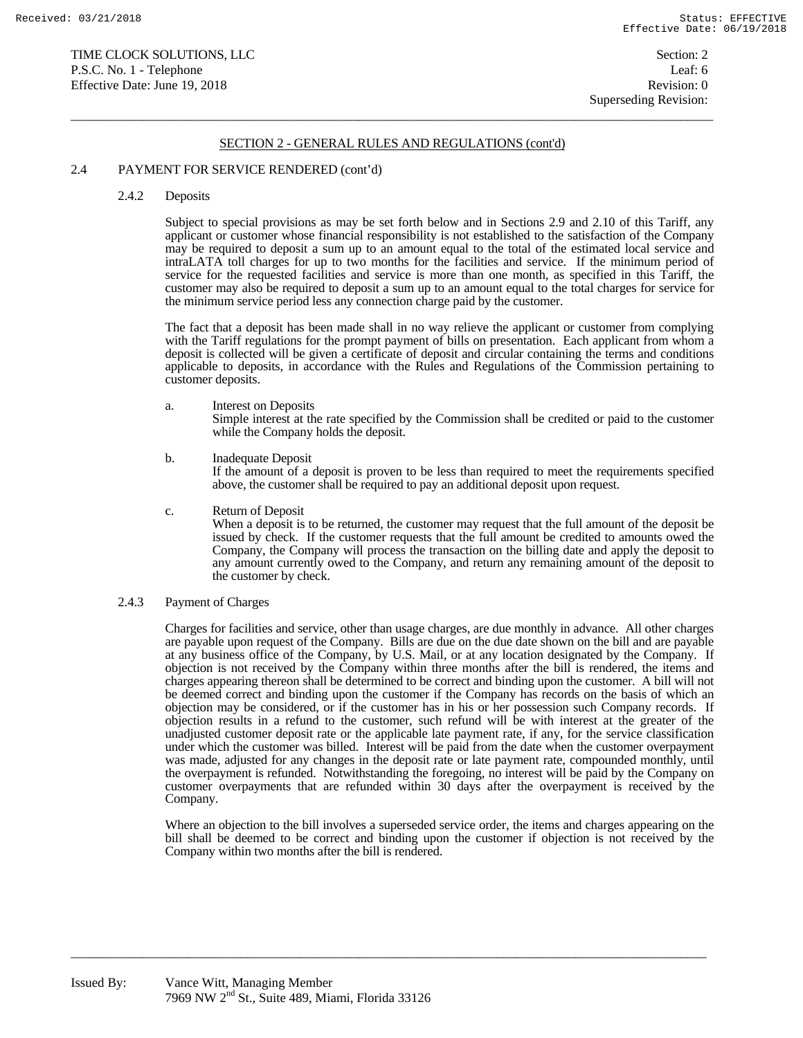$\overline{a}$  , and the state of the state of the state of the state of the state of the state of the state of the state of the state of the state of the state of the state of the state of the state of the state of the state o

### 2.4 PAYMENT FOR SERVICE RENDERED (cont'd)

#### 2.4.2 Deposits

 Subject to special provisions as may be set forth below and in Sections 2.9 and 2.10 of this Tariff, any applicant or customer whose financial responsibility is not established to the satisfaction of the Company may be required to deposit a sum up to an amount equal to the total of the estimated local service and intraLATA toll charges for up to two months for the facilities and service. If the minimum period of service for the requested facilities and service is more than one month, as specified in this Tariff, the customer may also be required to deposit a sum up to an amount equal to the total charges for service for the minimum service period less any connection charge paid by the customer.

 The fact that a deposit has been made shall in no way relieve the applicant or customer from complying with the Tariff regulations for the prompt payment of bills on presentation. Each applicant from whom a deposit is collected will be given a certificate of deposit and circular containing the terms and conditions applicable to deposits, in accordance with the Rules and Regulations of the Commission pertaining to customer deposits.

a. Interest on Deposits

 Simple interest at the rate specified by the Commission shall be credited or paid to the customer while the Company holds the deposit.

b. Inadequate Deposit

 If the amount of a deposit is proven to be less than required to meet the requirements specified above, the customer shall be required to pay an additional deposit upon request.

c. Return of Deposit

 When a deposit is to be returned, the customer may request that the full amount of the deposit be issued by check. If the customer requests that the full amount be credited to amounts owed the Company, the Company will process the transaction on the billing date and apply the deposit to any amount currently owed to the Company, and return any remaining amount of the deposit to the customer by check.

2.4.3 Payment of Charges

 Charges for facilities and service, other than usage charges, are due monthly in advance. All other charges are payable upon request of the Company. Bills are due on the due date shown on the bill and are payable at any business office of the Company, by U.S. Mail, or at any location designated by the Company. If objection is not received by the Company within three months after the bill is rendered, the items and charges appearing thereon shall be determined to be correct and binding upon the customer. A bill will not be deemed correct and binding upon the customer if the Company has records on the basis of which an objection may be considered, or if the customer has in his or her possession such Company records. If objection results in a refund to the customer, such refund will be with interest at the greater of the unadjusted customer deposit rate or the applicable late payment rate, if any, for the service classification under which the customer was billed. Interest will be paid from the date when the customer overpayment was made, adjusted for any changes in the deposit rate or late payment rate, compounded monthly, until the overpayment is refunded. Notwithstanding the foregoing, no interest will be paid by the Company on customer overpayments that are refunded within 30 days after the overpayment is received by the Company.

 Where an objection to the bill involves a superseded service order, the items and charges appearing on the bill shall be deemed to be correct and binding upon the customer if objection is not received by the Company within two months after the bill is rendered.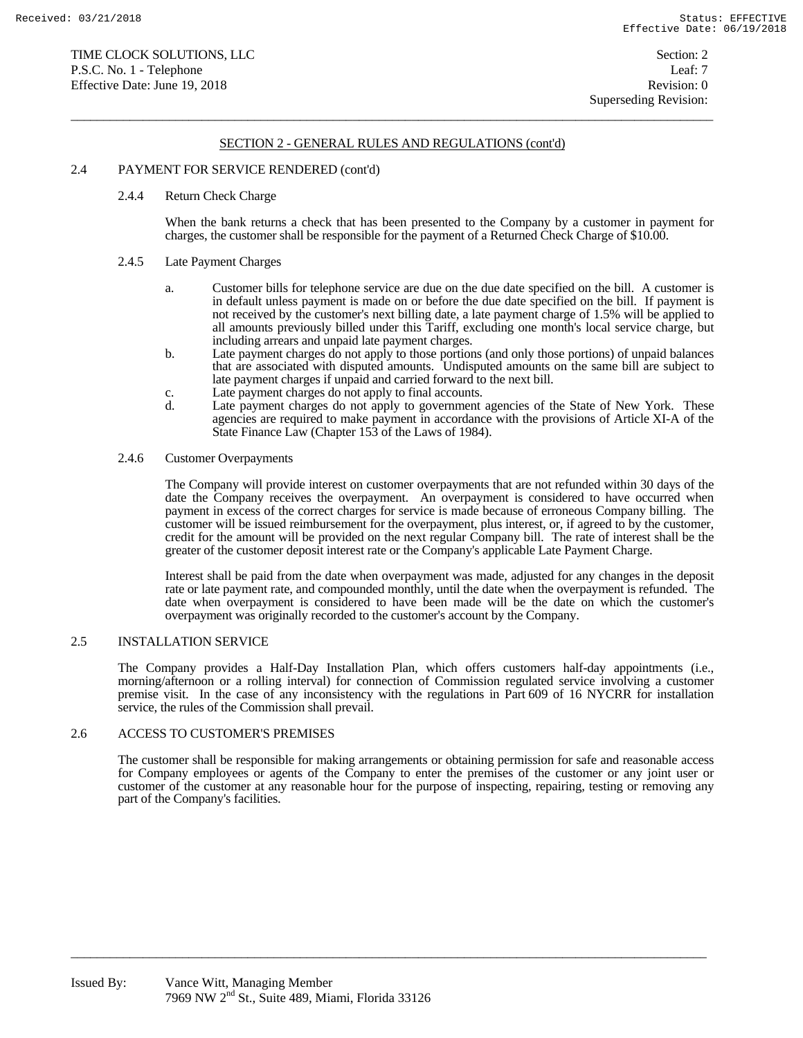$\overline{a}$  , and the state of the state of the state of the state of the state of the state of the state of the state of the state of the state of the state of the state of the state of the state of the state of the state o

### 2.4 PAYMENT FOR SERVICE RENDERED (cont'd)

#### 2.4.4 Return Check Charge

 When the bank returns a check that has been presented to the Company by a customer in payment for charges, the customer shall be responsible for the payment of a Returned Check Charge of \$10.00.

#### 2.4.5 Late Payment Charges

- a. Customer bills for telephone service are due on the due date specified on the bill. A customer is in default unless payment is made on or before the due date specified on the bill. If payment is not received by the customer's next billing date, a late payment charge of 1.5% will be applied to all amounts previously billed under this Tariff, excluding one month's local service charge, but including arrears and unpaid late payment charges.
- b. Late payment charges do not apply to those portions (and only those portions) of unpaid balances that are associated with disputed amounts. Undisputed amounts on the same bill are subject to late payment charges if unpaid and carried forward to the next bill.
	- c. Late payment charges do not apply to final accounts.<br>
	Late payment charges do not apply to government
	- Late payment charges do not apply to government agencies of the State of New York. These agencies are required to make payment in accordance with the provisions of Article XI-A of the State Finance Law (Chapter 153 of the Laws of 1984).

#### 2.4.6 Customer Overpayments

 The Company will provide interest on customer overpayments that are not refunded within 30 days of the date the Company receives the overpayment. An overpayment is considered to have occurred when payment in excess of the correct charges for service is made because of erroneous Company billing. The customer will be issued reimbursement for the overpayment, plus interest, or, if agreed to by the customer, credit for the amount will be provided on the next regular Company bill. The rate of interest shall be the greater of the customer deposit interest rate or the Company's applicable Late Payment Charge.

 Interest shall be paid from the date when overpayment was made, adjusted for any changes in the deposit rate or late payment rate, and compounded monthly, until the date when the overpayment is refunded. The date when overpayment is considered to have been made will be the date on which the customer's overpayment was originally recorded to the customer's account by the Company.

### 2.5 INSTALLATION SERVICE

 The Company provides a Half-Day Installation Plan, which offers customers half-day appointments (i.e., morning/afternoon or a rolling interval) for connection of Commission regulated service involving a customer premise visit. In the case of any inconsistency with the regulations in Part 609 of 16 NYCRR for installation service, the rules of the Commission shall prevail.

## 2.6 ACCESS TO CUSTOMER'S PREMISES

The customer shall be responsible for making arrangements or obtaining permission for safe and reasonable access for Company employees or agents of the Company to enter the premises of the customer or any joint user or customer of the customer at any reasonable hour for the purpose of inspecting, repairing, testing or removing any part of the Company's facilities.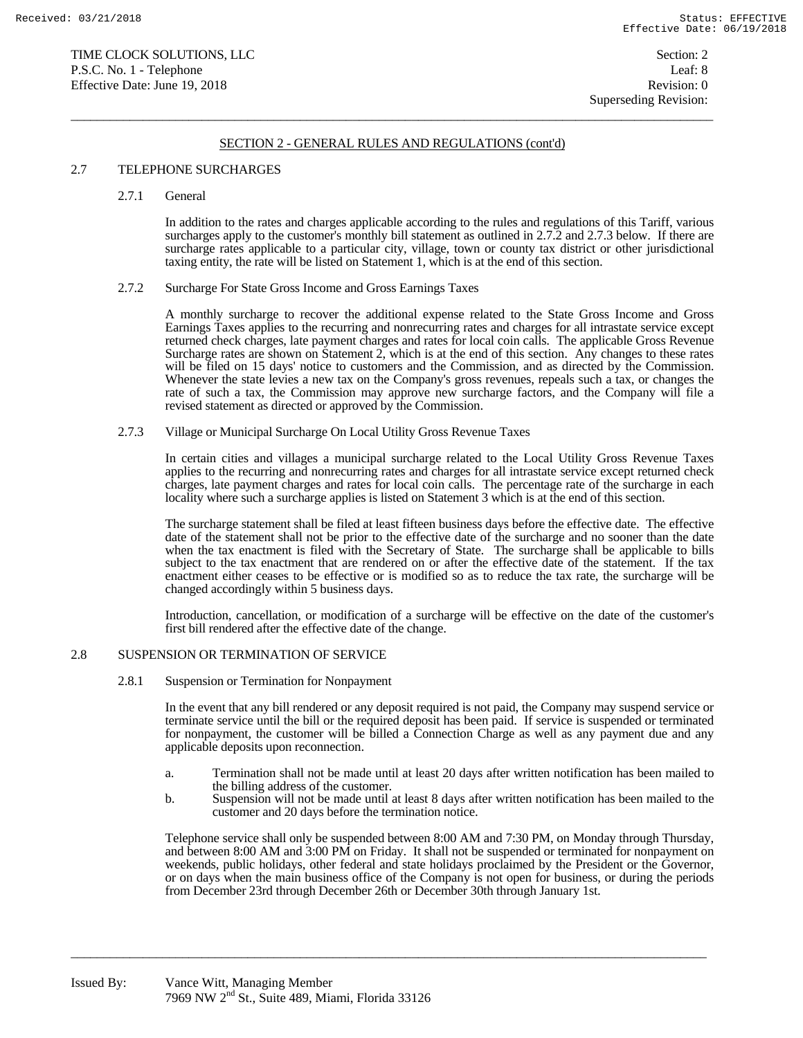$\overline{a}$  , and the state of the state of the state of the state of the state of the state of the state of the state of the state of the state of the state of the state of the state of the state of the state of the state o

### 2.7 TELEPHONE SURCHARGES

2.7.1 General

 In addition to the rates and charges applicable according to the rules and regulations of this Tariff, various surcharges apply to the customer's monthly bill statement as outlined in 2.7.2 and 2.7.3 below. If there are surcharge rates applicable to a particular city, village, town or county tax district or other jurisdictional taxing entity, the rate will be listed on Statement 1, which is at the end of this section.

### 2.7.2 Surcharge For State Gross Income and Gross Earnings Taxes

 A monthly surcharge to recover the additional expense related to the State Gross Income and Gross Earnings Taxes applies to the recurring and nonrecurring rates and charges for all intrastate service except returned check charges, late payment charges and rates for local coin calls. The applicable Gross Revenue Surcharge rates are shown on Statement 2, which is at the end of this section. Any changes to these rates will be filed on 15 days' notice to customers and the Commission, and as directed by the Commission. Whenever the state levies a new tax on the Company's gross revenues, repeals such a tax, or changes the rate of such a tax, the Commission may approve new surcharge factors, and the Company will file a revised statement as directed or approved by the Commission.

2.7.3 Village or Municipal Surcharge On Local Utility Gross Revenue Taxes

 In certain cities and villages a municipal surcharge related to the Local Utility Gross Revenue Taxes applies to the recurring and nonrecurring rates and charges for all intrastate service except returned check charges, late payment charges and rates for local coin calls. The percentage rate of the surcharge in each locality where such a surcharge applies is listed on Statement 3 which is at the end of this section.

 The surcharge statement shall be filed at least fifteen business days before the effective date. The effective date of the statement shall not be prior to the effective date of the surcharge and no sooner than the date when the tax enactment is filed with the Secretary of State. The surcharge shall be applicable to bills subject to the tax enactment that are rendered on or after the effective date of the statement. If the tax enactment either ceases to be effective or is modified so as to reduce the tax rate, the surcharge will be changed accordingly within 5 business days.

 Introduction, cancellation, or modification of a surcharge will be effective on the date of the customer's first bill rendered after the effective date of the change.

## 2.8 SUSPENSION OR TERMINATION OF SERVICE

2.8.1 Suspension or Termination for Nonpayment

 In the event that any bill rendered or any deposit required is not paid, the Company may suspend service or terminate service until the bill or the required deposit has been paid. If service is suspended or terminated for nonpayment, the customer will be billed a Connection Charge as well as any payment due and any applicable deposits upon reconnection.

- a. Termination shall not be made until at least 20 days after written notification has been mailed to the billing address of the customer.
- b. Suspension will not be made until at least 8 days after written notification has been mailed to the customer and 20 days before the termination notice.

 Telephone service shall only be suspended between 8:00 AM and 7:30 PM, on Monday through Thursday, and between 8:00 AM and 3:00 PM on Friday. It shall not be suspended or terminated for nonpayment on weekends, public holidays, other federal and state holidays proclaimed by the President or the Governor, or on days when the main business office of the Company is not open for business, or during the periods from December 23rd through December 26th or December 30th through January 1st.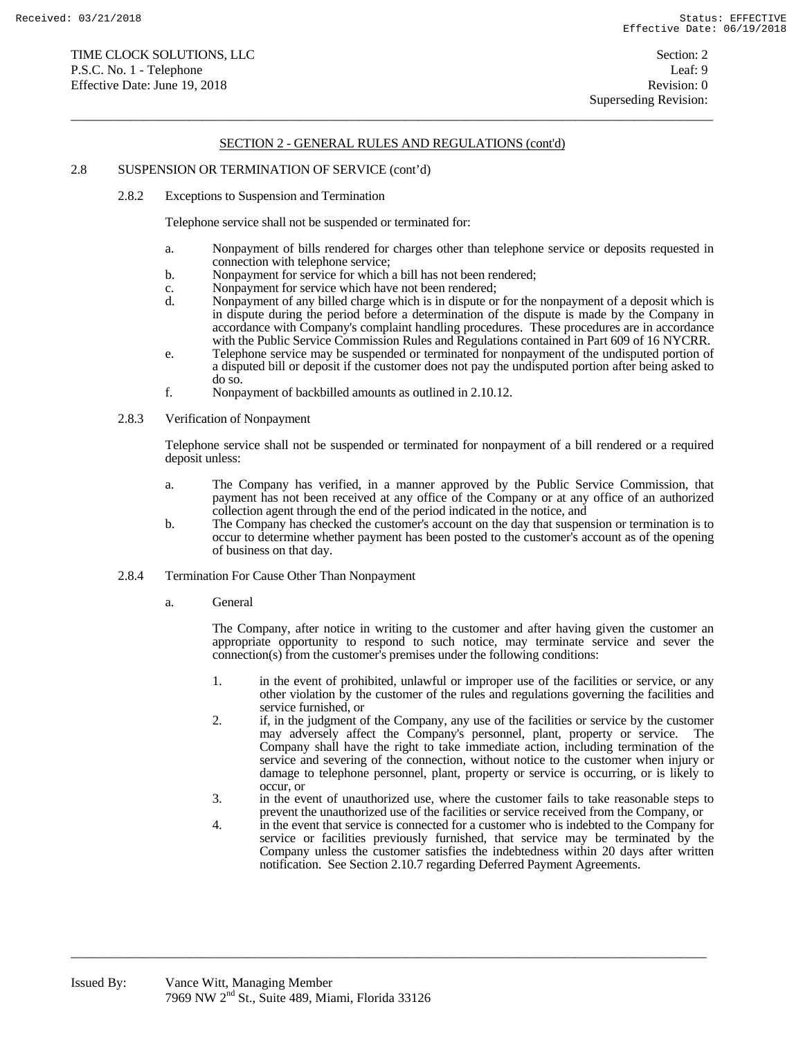$\overline{a}$  , and the state of the state of the state of the state of the state of the state of the state of the state of the state of the state of the state of the state of the state of the state of the state of the state o

### 2.8 SUSPENSION OR TERMINATION OF SERVICE (cont'd)

2.8.2 Exceptions to Suspension and Termination

Telephone service shall not be suspended or terminated for:

- a. Nonpayment of bills rendered for charges other than telephone service or deposits requested in connection with telephone service;
- b. Nonpayment for service for which a bill has not been rendered;
- c. Nonpayment for service which have not been rendered;
- d. Nonpayment of any billed charge which is in dispute or for the nonpayment of a deposit which is in dispute during the period before a determination of the dispute is made by the Company in accordance with Company's complaint handling procedures. These procedures are in accordance with the Public Service Commission Rules and Regulations contained in Part 609 of 16 NYCRR.
- e. Telephone service may be suspended or terminated for nonpayment of the undisputed portion of a disputed bill or deposit if the customer does not pay the undisputed portion after being asked to do so.
- f. Nonpayment of backbilled amounts as outlined in 2.10.12.
- 2.8.3 Verification of Nonpayment

 Telephone service shall not be suspended or terminated for nonpayment of a bill rendered or a required deposit unless:

- a. The Company has verified, in a manner approved by the Public Service Commission, that payment has not been received at any office of the Company or at any office of an authorized collection agent through the end of the period indicated in the notice, and
- b. The Company has checked the customer's account on the day that suspension or termination is to occur to determine whether payment has been posted to the customer's account as of the opening of business on that day.
- 2.8.4 Termination For Cause Other Than Nonpayment
	- a. General

 The Company, after notice in writing to the customer and after having given the customer an appropriate opportunity to respond to such notice, may terminate service and sever the connection(s) from the customer's premises under the following conditions:

- 1. in the event of prohibited, unlawful or improper use of the facilities or service, or any other violation by the customer of the rules and regulations governing the facilities and service furnished, or
- 2. if, in the judgment of the Company, any use of the facilities or service by the customer may adversely affect the Company's personnel, plant, property or service. The Company shall have the right to take immediate action, including termination of the service and severing of the connection, without notice to the customer when injury or damage to telephone personnel, plant, property or service is occurring, or is likely to occur, or
- 3. in the event of unauthorized use, where the customer fails to take reasonable steps to prevent the unauthorized use of the facilities or service received from the Company, or
- 4. in the event that service is connected for a customer who is indebted to the Company for service or facilities previously furnished, that service may be terminated by the Company unless the customer satisfies the indebtedness within 20 days after written notification. See Section 2.10.7 regarding Deferred Payment Agreements.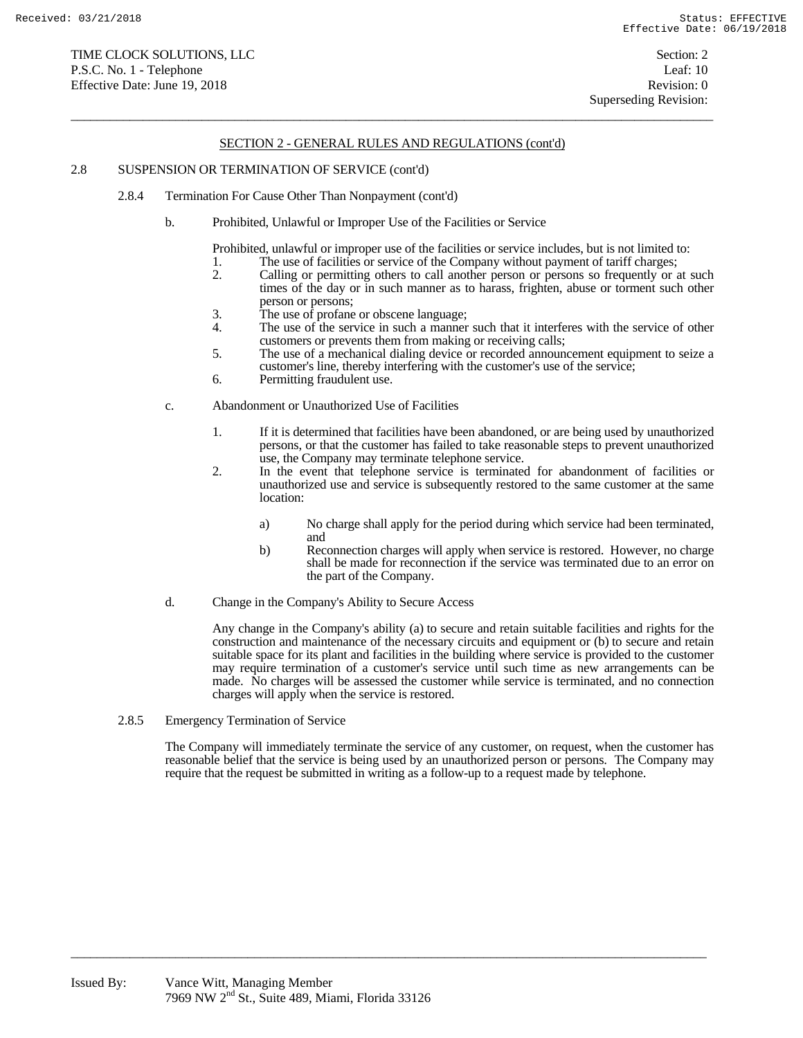$\overline{a}$  , and the state of the state of the state of the state of the state of the state of the state of the state of the state of the state of the state of the state of the state of the state of the state of the state o

#### 2.8 SUSPENSION OR TERMINATION OF SERVICE (cont'd)

- 2.8.4 Termination For Cause Other Than Nonpayment (cont'd)
	- b. Prohibited, Unlawful or Improper Use of the Facilities or Service
		- Prohibited, unlawful or improper use of the facilities or service includes, but is not limited to:
		- 1. The use of facilities or service of the Company without payment of tariff charges;<br>2. Calling or permitting others to call another person or persons so frequently or a
		- 2. Calling or permitting others to call another person or persons so frequently or at such times of the day or in such manner as to harass, frighten, abuse or torment such other person or persons;
		- 3. The use of profane or obscene language;<br>4. The use of the service in such a manner
		- The use of the service in such a manner such that it interferes with the service of other customers or prevents them from making or receiving calls;
		- 5. The use of a mechanical dialing device or recorded announcement equipment to seize a customer's line, thereby interfering with the customer's use of the service;
		- 6. Permitting fraudulent use.
	- c. Abandonment or Unauthorized Use of Facilities
		- 1. If it is determined that facilities have been abandoned, or are being used by unauthorized persons, or that the customer has failed to take reasonable steps to prevent unauthorized use, the Company may terminate telephone service.
		- 2. In the event that telephone service is terminated for abandonment of facilities or unauthorized use and service is subsequently restored to the same customer at the same location:
			- a) No charge shall apply for the period during which service had been terminated, and
			- b) Reconnection charges will apply when service is restored. However, no charge shall be made for reconnection if the service was terminated due to an error on the part of the Company.
	- d. Change in the Company's Ability to Secure Access

 Any change in the Company's ability (a) to secure and retain suitable facilities and rights for the construction and maintenance of the necessary circuits and equipment or (b) to secure and retain suitable space for its plant and facilities in the building where service is provided to the customer may require termination of a customer's service until such time as new arrangements can be made. No charges will be assessed the customer while service is terminated, and no connection charges will apply when the service is restored.

2.8.5 Emergency Termination of Service

 The Company will immediately terminate the service of any customer, on request, when the customer has reasonable belief that the service is being used by an unauthorized person or persons. The Company may require that the request be submitted in writing as a follow-up to a request made by telephone.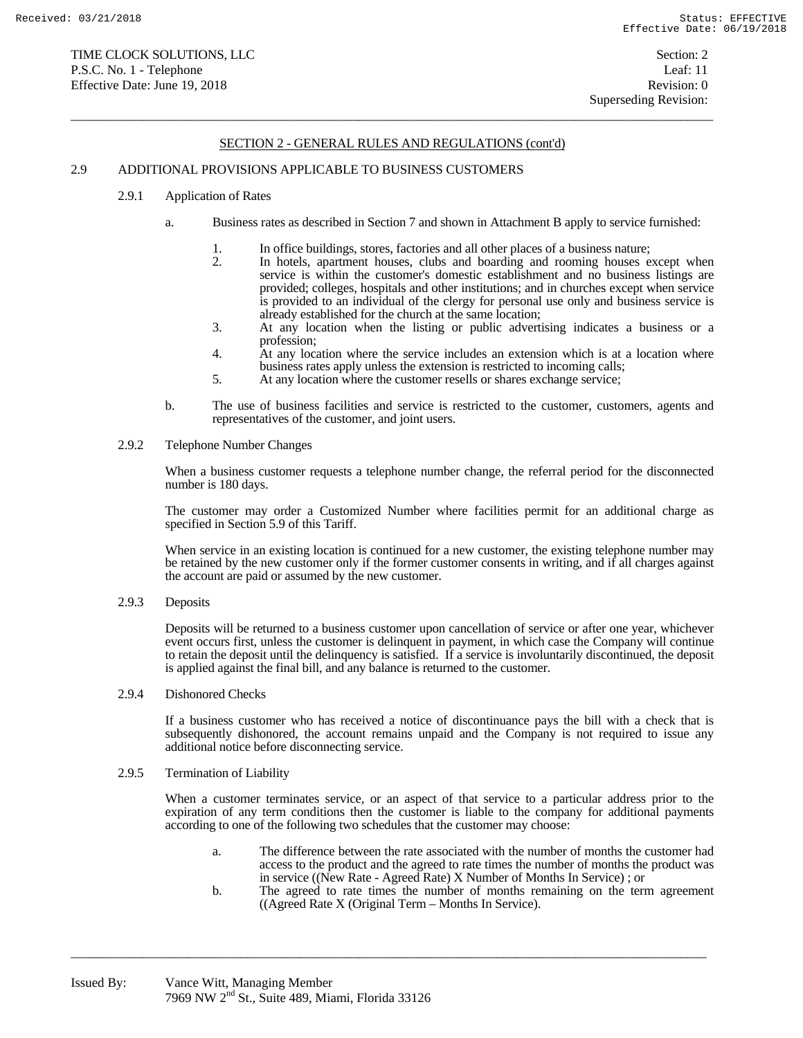$\overline{a}$  , and the state of the state of the state of the state of the state of the state of the state of the state of the state of the state of the state of the state of the state of the state of the state of the state o

### 2.9 ADDITIONAL PROVISIONS APPLICABLE TO BUSINESS CUSTOMERS

- 2.9.1 Application of Rates
	- a. Business rates as described in Section 7 and shown in Attachment B apply to service furnished:
		- 1. In office buildings, stores, factories and all other places of a business nature;<br>2. In hotels, apartment houses, clubs and boarding and rooming houses e
		- In hotels, apartment houses, clubs and boarding and rooming houses except when service is within the customer's domestic establishment and no business listings are provided; colleges, hospitals and other institutions; and in churches except when service is provided to an individual of the clergy for personal use only and business service is already established for the church at the same location;
		- 3. At any location when the listing or public advertising indicates a business or a profession;
		- 4. At any location where the service includes an extension which is at a location where business rates apply unless the extension is restricted to incoming calls;
		- 5. At any location where the customer resells or shares exchange service;
	- b. The use of business facilities and service is restricted to the customer, customers, agents and representatives of the customer, and joint users.
- 2.9.2 Telephone Number Changes

 When a business customer requests a telephone number change, the referral period for the disconnected number is 180 days.

 The customer may order a Customized Number where facilities permit for an additional charge as specified in Section 5.9 of this Tariff.

When service in an existing location is continued for a new customer, the existing telephone number may be retained by the new customer only if the former customer consents in writing, and if all charges against the account are paid or assumed by the new customer.

2.9.3 Deposits

 Deposits will be returned to a business customer upon cancellation of service or after one year, whichever event occurs first, unless the customer is delinquent in payment, in which case the Company will continue to retain the deposit until the delinquency is satisfied. If a service is involuntarily discontinued, the deposit is applied against the final bill, and any balance is returned to the customer.

2.9.4 Dishonored Checks

 If a business customer who has received a notice of discontinuance pays the bill with a check that is subsequently dishonored, the account remains unpaid and the Company is not required to issue any additional notice before disconnecting service.

2.9.5 Termination of Liability

 When a customer terminates service, or an aspect of that service to a particular address prior to the expiration of any term conditions then the customer is liable to the company for additional payments according to one of the following two schedules that the customer may choose:

- a. The difference between the rate associated with the number of months the customer had access to the product and the agreed to rate times the number of months the product was in service ((New Rate - Agreed Rate) X Number of Months In Service) ; or
- b. The agreed to rate times the number of months remaining on the term agreement ((Agreed Rate X (Original Term – Months In Service).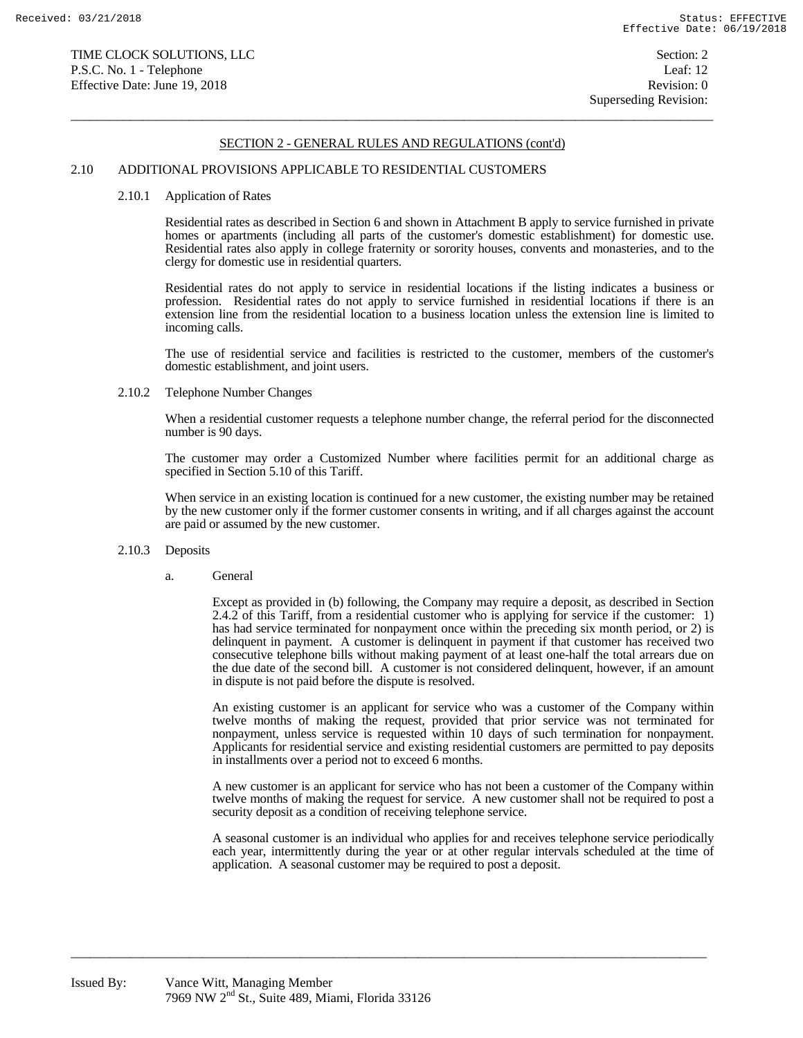$\overline{a}$  , and the state of the state of the state of the state of the state of the state of the state of the state of the state of the state of the state of the state of the state of the state of the state of the state o

#### 2.10 ADDITIONAL PROVISIONS APPLICABLE TO RESIDENTIAL CUSTOMERS

#### 2.10.1 Application of Rates

 Residential rates as described in Section 6 and shown in Attachment B apply to service furnished in private homes or apartments (including all parts of the customer's domestic establishment) for domestic use. Residential rates also apply in college fraternity or sorority houses, convents and monasteries, and to the clergy for domestic use in residential quarters.

 Residential rates do not apply to service in residential locations if the listing indicates a business or profession. Residential rates do not apply to service furnished in residential locations if there is an extension line from the residential location to a business location unless the extension line is limited to incoming calls.

 The use of residential service and facilities is restricted to the customer, members of the customer's domestic establishment, and joint users.

#### 2.10.2 Telephone Number Changes

 When a residential customer requests a telephone number change, the referral period for the disconnected number is 90 days.

 The customer may order a Customized Number where facilities permit for an additional charge as specified in Section 5.10 of this Tariff.

 When service in an existing location is continued for a new customer, the existing number may be retained by the new customer only if the former customer consents in writing, and if all charges against the account are paid or assumed by the new customer.

#### 2.10.3 Deposits

#### a. General

 Except as provided in (b) following, the Company may require a deposit, as described in Section 2.4.2 of this Tariff, from a residential customer who is applying for service if the customer: 1) has had service terminated for nonpayment once within the preceding six month period, or 2) is delinquent in payment. A customer is delinquent in payment if that customer has received two consecutive telephone bills without making payment of at least one-half the total arrears due on the due date of the second bill. A customer is not considered delinquent, however, if an amount in dispute is not paid before the dispute is resolved.

 An existing customer is an applicant for service who was a customer of the Company within twelve months of making the request, provided that prior service was not terminated for nonpayment, unless service is requested within 10 days of such termination for nonpayment. Applicants for residential service and existing residential customers are permitted to pay deposits in installments over a period not to exceed 6 months.

 A new customer is an applicant for service who has not been a customer of the Company within twelve months of making the request for service. A new customer shall not be required to post a security deposit as a condition of receiving telephone service.

 A seasonal customer is an individual who applies for and receives telephone service periodically each year, intermittently during the year or at other regular intervals scheduled at the time of application. A seasonal customer may be required to post a deposit.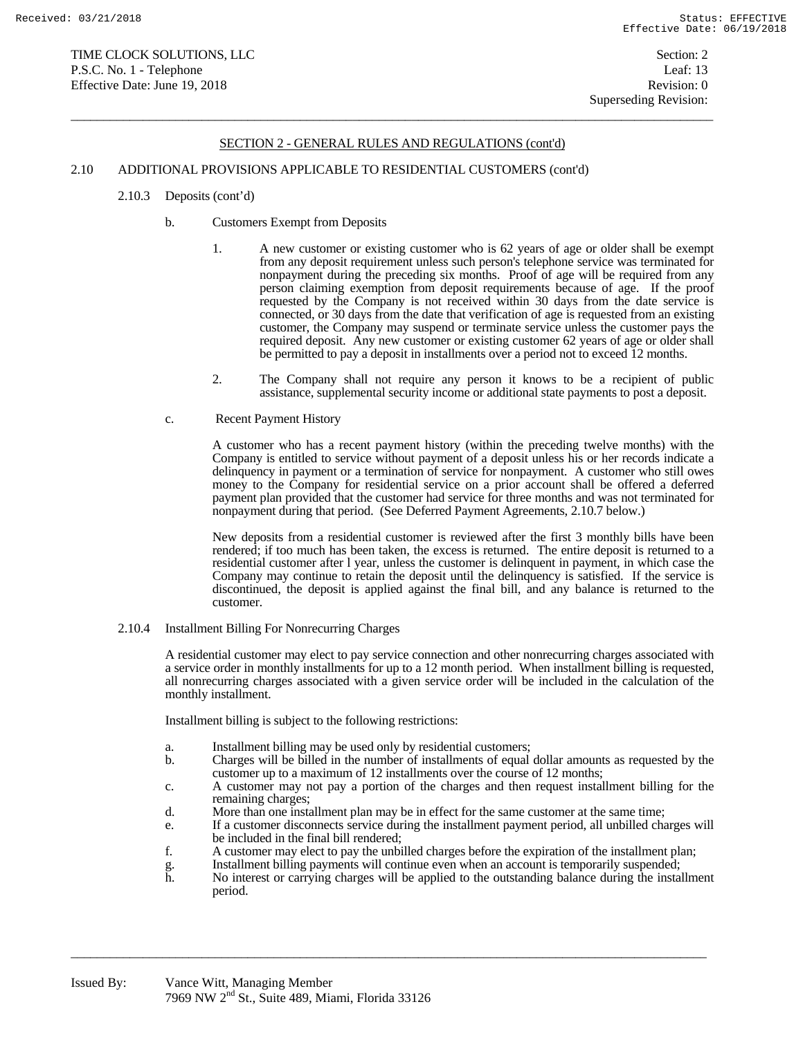$\overline{a}$  , and the state of the state of the state of the state of the state of the state of the state of the state of the state of the state of the state of the state of the state of the state of the state of the state o

### 2.10 ADDITIONAL PROVISIONS APPLICABLE TO RESIDENTIAL CUSTOMERS (cont'd)

- 2.10.3 Deposits (cont'd)
	- b. Customers Exempt from Deposits
		- 1. A new customer or existing customer who is 62 years of age or older shall be exempt from any deposit requirement unless such person's telephone service was terminated for nonpayment during the preceding six months. Proof of age will be required from any person claiming exemption from deposit requirements because of age. If the proof requested by the Company is not received within 30 days from the date service is connected, or 30 days from the date that verification of age is requested from an existing customer, the Company may suspend or terminate service unless the customer pays the required deposit. Any new customer or existing customer 62 years of age or older shall be permitted to pay a deposit in installments over a period not to exceed 12 months.
		- 2. The Company shall not require any person it knows to be a recipient of public assistance, supplemental security income or additional state payments to post a deposit.
	- c. Recent Payment History

 A customer who has a recent payment history (within the preceding twelve months) with the Company is entitled to service without payment of a deposit unless his or her records indicate a delinquency in payment or a termination of service for nonpayment. A customer who still owes money to the Company for residential service on a prior account shall be offered a deferred payment plan provided that the customer had service for three months and was not terminated for nonpayment during that period. (See Deferred Payment Agreements, 2.10.7 below.)

 New deposits from a residential customer is reviewed after the first 3 monthly bills have been rendered; if too much has been taken, the excess is returned. The entire deposit is returned to a residential customer after l year, unless the customer is delinquent in payment, in which case the Company may continue to retain the deposit until the delinquency is satisfied. If the service is discontinued, the deposit is applied against the final bill, and any balance is returned to the customer.

2.10.4 Installment Billing For Nonrecurring Charges

 A residential customer may elect to pay service connection and other nonrecurring charges associated with a service order in monthly installments for up to a 12 month period. When installment billing is requested, all nonrecurring charges associated with a given service order will be included in the calculation of the monthly installment.

Installment billing is subject to the following restrictions:

- a. Installment billing may be used only by residential customers;
- b. Charges will be billed in the number of installments of equal dollar amounts as requested by the customer up to a maximum of 12 installments over the course of 12 months;
- c. A customer may not pay a portion of the charges and then request installment billing for the remaining charges;
- d. More than one installment plan may be in effect for the same customer at the same time;

- e. If a customer disconnects service during the installment payment period, all unbilled charges will be included in the final bill rendered;
- f. A customer may elect to pay the unbilled charges before the expiration of the installment plan;
- g. Installment billing payments will continue even when an account is temporarily suspended;<br>h. No interest or carrying charges will be applied to the outstanding balance during the instal
- h. No interest or carrying charges will be applied to the outstanding balance during the installment period.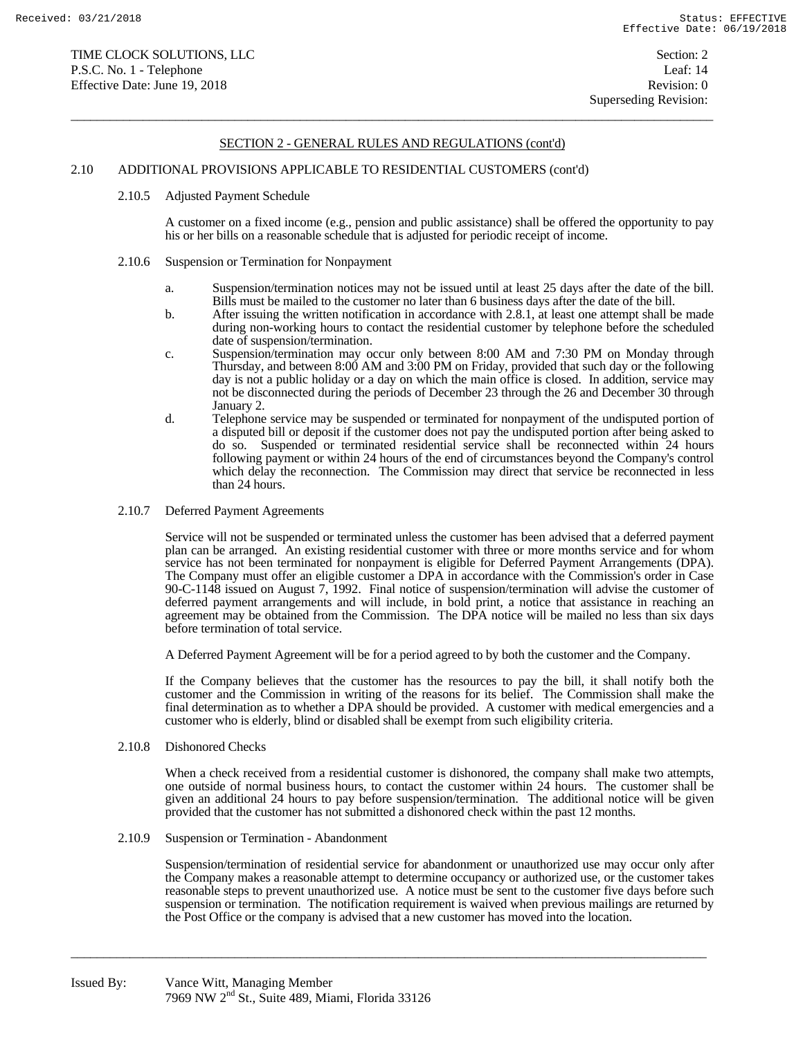$\overline{a}$  , and the state of the state of the state of the state of the state of the state of the state of the state of the state of the state of the state of the state of the state of the state of the state of the state o

#### 2.10 ADDITIONAL PROVISIONS APPLICABLE TO RESIDENTIAL CUSTOMERS (cont'd)

#### 2.10.5 Adjusted Payment Schedule

 A customer on a fixed income (e.g., pension and public assistance) shall be offered the opportunity to pay his or her bills on a reasonable schedule that is adjusted for periodic receipt of income.

- 2.10.6 Suspension or Termination for Nonpayment
	- a. Suspension/termination notices may not be issued until at least 25 days after the date of the bill. Bills must be mailed to the customer no later than 6 business days after the date of the bill.
	- b. After issuing the written notification in accordance with 2.8.1, at least one attempt shall be made during non-working hours to contact the residential customer by telephone before the scheduled date of suspension/termination.
	- c. Suspension/termination may occur only between 8:00 AM and 7:30 PM on Monday through Thursday, and between 8:00 AM and 3:00 PM on Friday, provided that such day or the following day is not a public holiday or a day on which the main office is closed. In addition, service may not be disconnected during the periods of December 23 through the 26 and December 30 through January 2.
	- d. Telephone service may be suspended or terminated for nonpayment of the undisputed portion of a disputed bill or deposit if the customer does not pay the undisputed portion after being asked to do so. Suspended or terminated residential service shall be reconnected within 24 hours following payment or within 24 hours of the end of circumstances beyond the Company's control which delay the reconnection. The Commission may direct that service be reconnected in less than 24 hours.
- 2.10.7 Deferred Payment Agreements

 Service will not be suspended or terminated unless the customer has been advised that a deferred payment plan can be arranged. An existing residential customer with three or more months service and for whom service has not been terminated for nonpayment is eligible for Deferred Payment Arrangements (DPA). The Company must offer an eligible customer a DPA in accordance with the Commission's order in Case 90-C-1148 issued on August 7, 1992. Final notice of suspension/termination will advise the customer of deferred payment arrangements and will include, in bold print, a notice that assistance in reaching an agreement may be obtained from the Commission. The DPA notice will be mailed no less than six days before termination of total service.

A Deferred Payment Agreement will be for a period agreed to by both the customer and the Company.

 If the Company believes that the customer has the resources to pay the bill, it shall notify both the customer and the Commission in writing of the reasons for its belief. The Commission shall make the final determination as to whether a DPA should be provided. A customer with medical emergencies and a customer who is elderly, blind or disabled shall be exempt from such eligibility criteria.

2.10.8 Dishonored Checks

 When a check received from a residential customer is dishonored, the company shall make two attempts, one outside of normal business hours, to contact the customer within 24 hours. The customer shall be given an additional 24 hours to pay before suspension/termination. The additional notice will be given provided that the customer has not submitted a dishonored check within the past 12 months.

2.10.9 Suspension or Termination - Abandonment

 Suspension/termination of residential service for abandonment or unauthorized use may occur only after the Company makes a reasonable attempt to determine occupancy or authorized use, or the customer takes reasonable steps to prevent unauthorized use. A notice must be sent to the customer five days before such suspension or termination. The notification requirement is waived when previous mailings are returned by the Post Office or the company is advised that a new customer has moved into the location.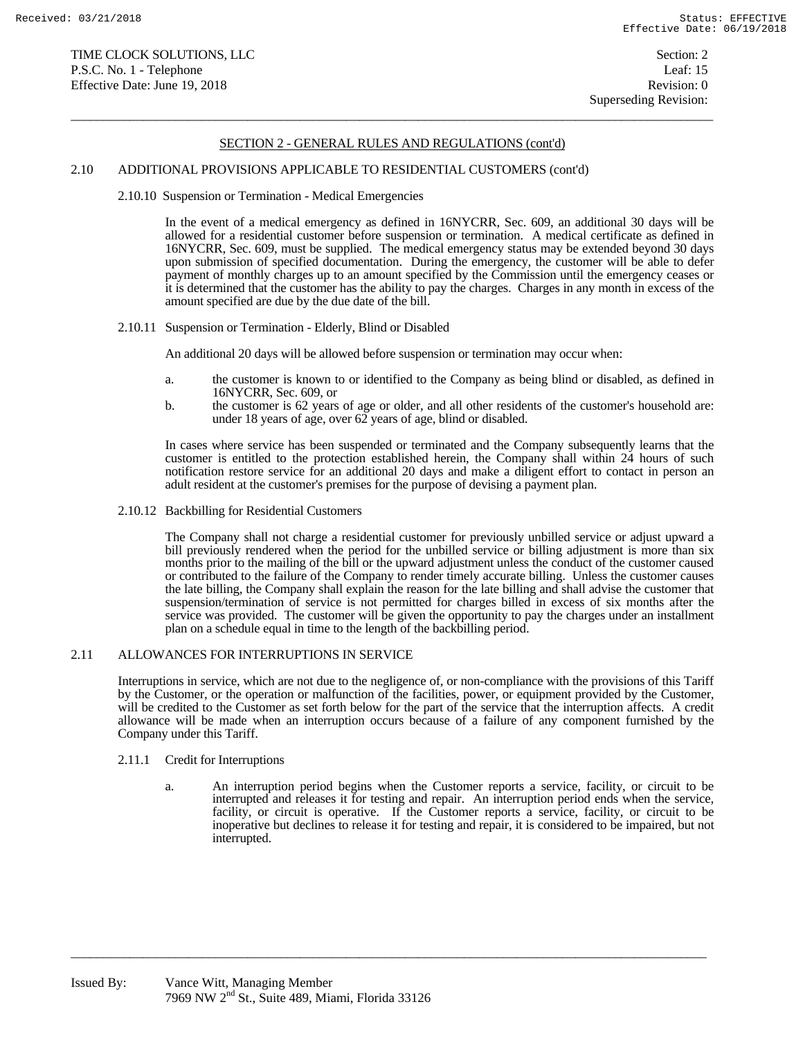$\overline{a}$  , and the state of the state of the state of the state of the state of the state of the state of the state of the state of the state of the state of the state of the state of the state of the state of the state o

#### 2.10 ADDITIONAL PROVISIONS APPLICABLE TO RESIDENTIAL CUSTOMERS (cont'd)

2.10.10 Suspension or Termination - Medical Emergencies

 In the event of a medical emergency as defined in 16NYCRR, Sec. 609, an additional 30 days will be allowed for a residential customer before suspension or termination. A medical certificate as defined in 16NYCRR, Sec. 609, must be supplied. The medical emergency status may be extended beyond 30 days upon submission of specified documentation. During the emergency, the customer will be able to defer payment of monthly charges up to an amount specified by the Commission until the emergency ceases or it is determined that the customer has the ability to pay the charges. Charges in any month in excess of the amount specified are due by the due date of the bill.

2.10.11 Suspension or Termination - Elderly, Blind or Disabled

An additional 20 days will be allowed before suspension or termination may occur when:

- a. the customer is known to or identified to the Company as being blind or disabled, as defined in 16NYCRR, Sec. 609, or
- b. the customer is 62 years of age or older, and all other residents of the customer's household are: under 18 years of age, over 62 years of age, blind or disabled.

 In cases where service has been suspended or terminated and the Company subsequently learns that the customer is entitled to the protection established herein, the Company shall within 24 hours of such notification restore service for an additional 20 days and make a diligent effort to contact in person an adult resident at the customer's premises for the purpose of devising a payment plan.

2.10.12 Backbilling for Residential Customers

 The Company shall not charge a residential customer for previously unbilled service or adjust upward a bill previously rendered when the period for the unbilled service or billing adjustment is more than six months prior to the mailing of the bill or the upward adjustment unless the conduct of the customer caused or contributed to the failure of the Company to render timely accurate billing. Unless the customer causes the late billing, the Company shall explain the reason for the late billing and shall advise the customer that suspension/termination of service is not permitted for charges billed in excess of six months after the service was provided. The customer will be given the opportunity to pay the charges under an installment plan on a schedule equal in time to the length of the backbilling period.

## 2.11 ALLOWANCES FOR INTERRUPTIONS IN SERVICE

 Interruptions in service, which are not due to the negligence of, or non-compliance with the provisions of this Tariff by the Customer, or the operation or malfunction of the facilities, power, or equipment provided by the Customer, will be credited to the Customer as set forth below for the part of the service that the interruption affects. A credit allowance will be made when an interruption occurs because of a failure of any component furnished by the Company under this Tariff.

- 2.11.1 Credit for Interruptions
	- a. An interruption period begins when the Customer reports a service, facility, or circuit to be interrupted and releases it for testing and repair. An interruption period ends when the service, facility, or circuit is operative. If the Customer reports a service, facility, or circuit to be inoperative but declines to release it for testing and repair, it is considered to be impaired, but not interrupted.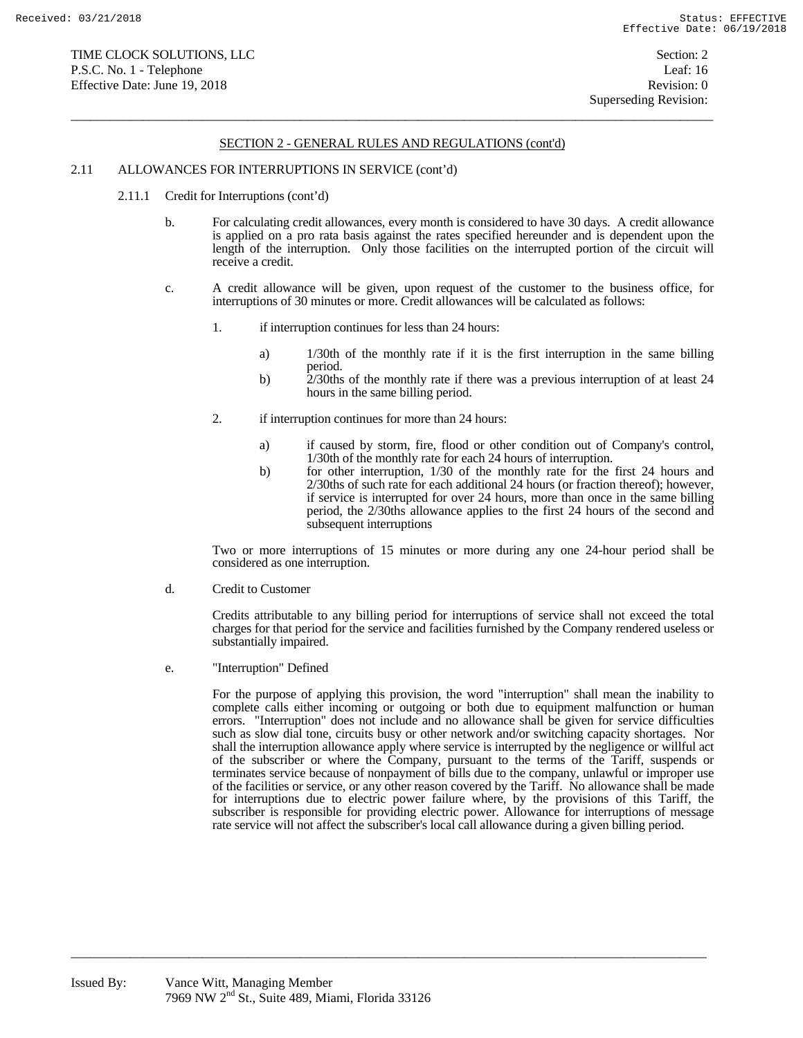$\overline{a}$  , and the state of the state of the state of the state of the state of the state of the state of the state of the state of the state of the state of the state of the state of the state of the state of the state o

#### 2.11 ALLOWANCES FOR INTERRUPTIONS IN SERVICE (cont'd)

- 2.11.1 Credit for Interruptions (cont'd)
	- b. For calculating credit allowances, every month is considered to have 30 days. A credit allowance is applied on a pro rata basis against the rates specified hereunder and is dependent upon the length of the interruption. Only those facilities on the interrupted portion of the circuit will receive a credit.
	- c. A credit allowance will be given, upon request of the customer to the business office, for interruptions of 30 minutes or more. Credit allowances will be calculated as follows:
		- 1. if interruption continues for less than 24 hours:
			- a) 1/30th of the monthly rate if it is the first interruption in the same billing period.
			- b) 2/30ths of the monthly rate if there was a previous interruption of at least 24 hours in the same billing period.
		- 2. if interruption continues for more than 24 hours:
			- a) if caused by storm, fire, flood or other condition out of Company's control, 1/30th of the monthly rate for each 24 hours of interruption.
			- b) for other interruption, 1/30 of the monthly rate for the first 24 hours and 2/30ths of such rate for each additional 24 hours (or fraction thereof); however, if service is interrupted for over 24 hours, more than once in the same billing period, the 2/30ths allowance applies to the first 24 hours of the second and subsequent interruptions

 Two or more interruptions of 15 minutes or more during any one 24-hour period shall be considered as one interruption.

d. Credit to Customer

 Credits attributable to any billing period for interruptions of service shall not exceed the total charges for that period for the service and facilities furnished by the Company rendered useless or substantially impaired.

e. "Interruption" Defined

 For the purpose of applying this provision, the word "interruption" shall mean the inability to complete calls either incoming or outgoing or both due to equipment malfunction or human errors. "Interruption" does not include and no allowance shall be given for service difficulties such as slow dial tone, circuits busy or other network and/or switching capacity shortages. Nor shall the interruption allowance apply where service is interrupted by the negligence or willful act of the subscriber or where the Company, pursuant to the terms of the Tariff, suspends or terminates service because of nonpayment of bills due to the company, unlawful or improper use of the facilities or service, or any other reason covered by the Tariff. No allowance shall be made for interruptions due to electric power failure where, by the provisions of this Tariff, the subscriber is responsible for providing electric power. Allowance for interruptions of message rate service will not affect the subscriber's local call allowance during a given billing period.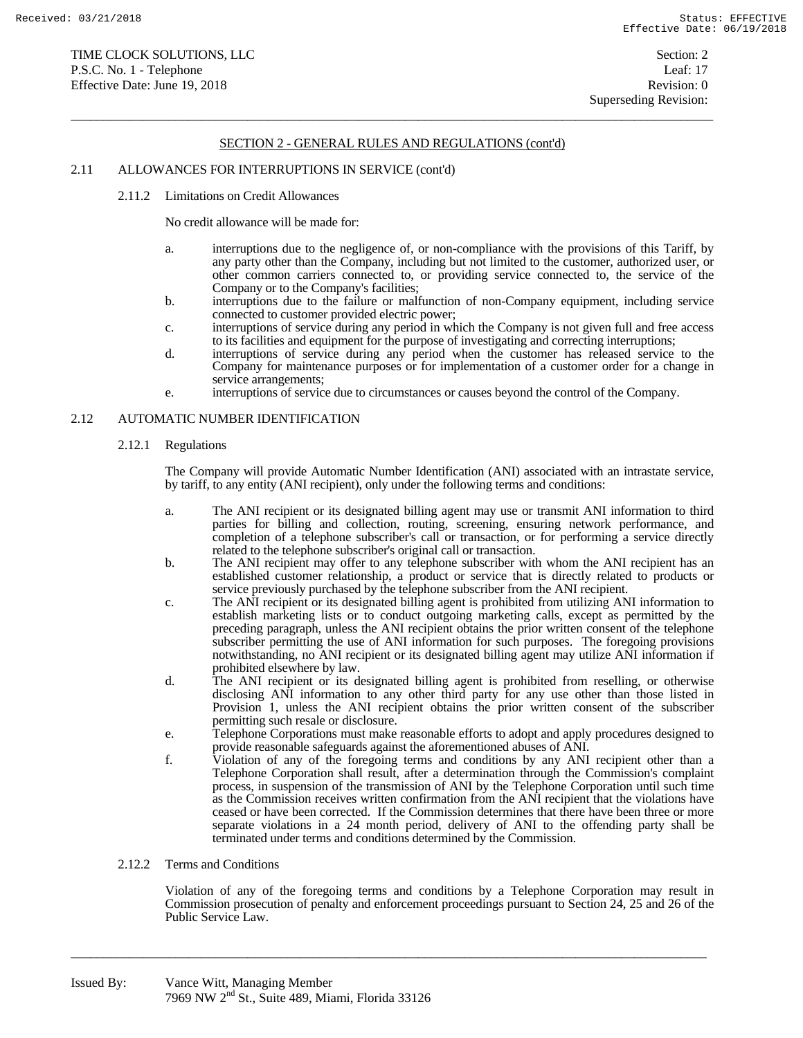$\overline{a}$  , and the state of the state of the state of the state of the state of the state of the state of the state of the state of the state of the state of the state of the state of the state of the state of the state o

### 2.11 ALLOWANCES FOR INTERRUPTIONS IN SERVICE (cont'd)

2.11.2 Limitations on Credit Allowances

No credit allowance will be made for:

- a. interruptions due to the negligence of, or non-compliance with the provisions of this Tariff, by any party other than the Company, including but not limited to the customer, authorized user, or other common carriers connected to, or providing service connected to, the service of the Company or to the Company's facilities;
- b. interruptions due to the failure or malfunction of non-Company equipment, including service connected to customer provided electric power;
- c. interruptions of service during any period in which the Company is not given full and free access to its facilities and equipment for the purpose of investigating and correcting interruptions;
- d. interruptions of service during any period when the customer has released service to the Company for maintenance purposes or for implementation of a customer order for a change in service arrangements;
- e. interruptions of service due to circumstances or causes beyond the control of the Company.

## 2.12 AUTOMATIC NUMBER IDENTIFICATION

#### 2.12.1 Regulations

 The Company will provide Automatic Number Identification (ANI) associated with an intrastate service, by tariff, to any entity (ANI recipient), only under the following terms and conditions:

- a. The ANI recipient or its designated billing agent may use or transmit ANI information to third parties for billing and collection, routing, screening, ensuring network performance, and completion of a telephone subscriber's call or transaction, or for performing a service directly related to the telephone subscriber's original call or transaction.
- b. The ANI recipient may offer to any telephone subscriber with whom the ANI recipient has an established customer relationship, a product or service that is directly related to products or service previously purchased by the telephone subscriber from the ANI recipient.
- c. The ANI recipient or its designated billing agent is prohibited from utilizing ANI information to establish marketing lists or to conduct outgoing marketing calls, except as permitted by the preceding paragraph, unless the ANI recipient obtains the prior written consent of the telephone subscriber permitting the use of ANI information for such purposes. The foregoing provisions notwithstanding, no ANI recipient or its designated billing agent may utilize ANI information if prohibited elsewhere by law.
- d. The ANI recipient or its designated billing agent is prohibited from reselling, or otherwise disclosing ANI information to any other third party for any use other than those listed in Provision 1, unless the ANI recipient obtains the prior written consent of the subscriber permitting such resale or disclosure.
- e. Telephone Corporations must make reasonable efforts to adopt and apply procedures designed to provide reasonable safeguards against the aforementioned abuses of ANI.
- f. Violation of any of the foregoing terms and conditions by any ANI recipient other than a Telephone Corporation shall result, after a determination through the Commission's complaint process, in suspension of the transmission of ANI by the Telephone Corporation until such time as the Commission receives written confirmation from the ANI recipient that the violations have ceased or have been corrected. If the Commission determines that there have been three or more separate violations in a 24 month period, delivery of ANI to the offending party shall be terminated under terms and conditions determined by the Commission.

### 2.12.2 Terms and Conditions

 Violation of any of the foregoing terms and conditions by a Telephone Corporation may result in Commission prosecution of penalty and enforcement proceedings pursuant to Section 24, 25 and 26 of the Public Service Law.